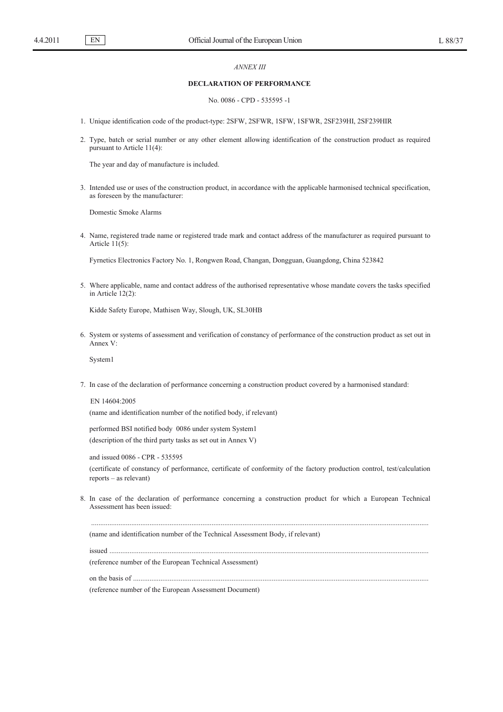EN

## *ANNEX III*

## **DECLARATION OF PERFORMANCE**

### No. 0086 - CPD - 535595 -1

1. Unique identification code of the product-type: 2SFW, 2SFWR, 1SFW, 1SFWR, 2SF239HI, 2SF239HIR

2. Type, batch or serial number or any other element allowing identification of the construction product as required pursuant to Article 11(4):

The year and day of manufacture is included.

3. Intended use or uses of the construction product, in accordance with the applicable harmonised technical specification, as foreseen by the manufacturer:

Domestic Smoke Alarms

4. Name, registered trade name or registered trade mark and contact address of the manufacturer as required pursuant to Article  $11(5)$ :

Fyrnetics Electronics Factory No. 1, Rongwen Road, Changan, Dongguan, Guangdong, China 523842

5. Where applicable, name and contact address of the authorised representative whose mandate covers the tasks specified in Article 12(2):

Kidde Safety Europe, Mathisen Way, Slough, UK, SL30HB

6. System or systems of assessment and verification of constancy of performance of the construction product as set out in Annex V:

System1

7. In case of the declaration of performance concerning a construction product covered by a harmonised standard:

EN 14604:2005 (name and identification number of the notified body, if relevant)

performed BSI notified body 0086 under system System1 (description of the third party tasks as set out in Annex V)

and issued 0086 - CPR - 535595 (certificate of constancy of performance, certificate of conformity of the factory production control, test/calculation reports – as relevant)

8. In case of the declaration of performance concerning a construction product for which a European Technical Assessment has been issued:

.........................................................................................................................................................................................

(name and identification number of the Technical Assessment Body, if relevant)

issued ...............................................................................................................................................................................

(reference number of the European Technical Assessment)

on the basis of ..................................................................................................................................................................

(reference number of the European Assessment Document)